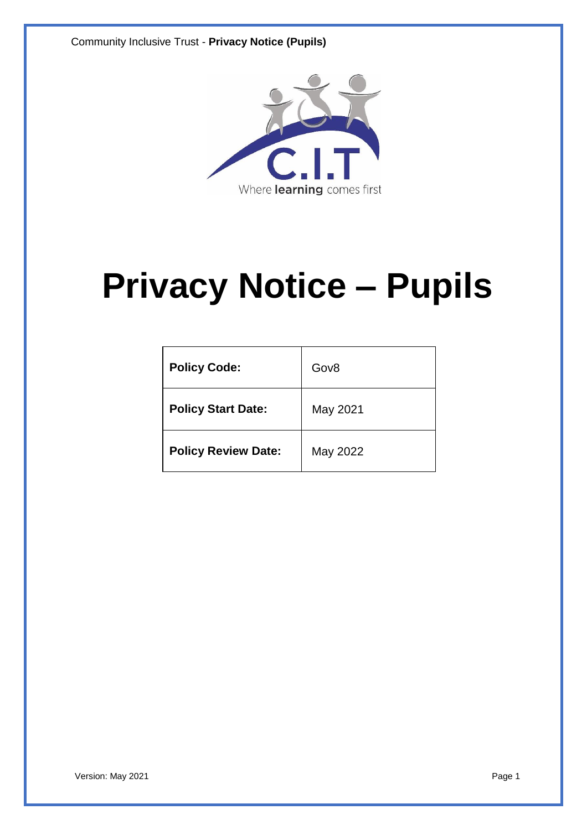

# **Privacy Notice – Pupils**

| <b>Policy Code:</b>        | Gov <sub>8</sub> |
|----------------------------|------------------|
| <b>Policy Start Date:</b>  | May 2021         |
| <b>Policy Review Date:</b> | May 2022         |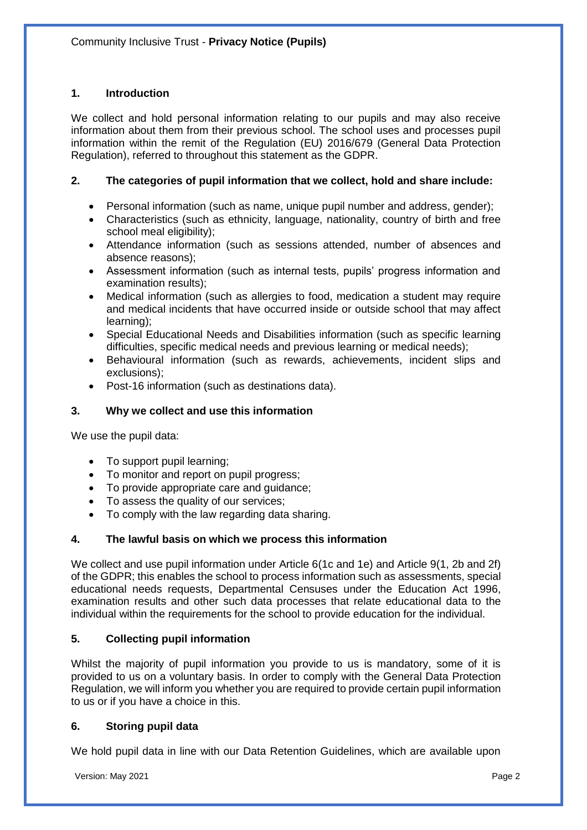# **1. Introduction**

We collect and hold personal information relating to our pupils and may also receive information about them from their previous school. The school uses and processes pupil information within the remit of the Regulation (EU) 2016/679 (General Data Protection Regulation), referred to throughout this statement as the GDPR.

## **2. The categories of pupil information that we collect, hold and share include:**

- Personal information (such as name, unique pupil number and address, gender);
- Characteristics (such as ethnicity, language, nationality, country of birth and free school meal eligibility);
- Attendance information (such as sessions attended, number of absences and absence reasons);
- Assessment information (such as internal tests, pupils' progress information and examination results);
- Medical information (such as allergies to food, medication a student may require and medical incidents that have occurred inside or outside school that may affect learning);
- Special Educational Needs and Disabilities information (such as specific learning difficulties, specific medical needs and previous learning or medical needs);
- Behavioural information (such as rewards, achievements, incident slips and exclusions);
- Post-16 information (such as destinations data).

# **3. Why we collect and use this information**

We use the pupil data:

- To support pupil learning;
- To monitor and report on pupil progress;
- To provide appropriate care and guidance;
- To assess the quality of our services;
- To comply with the law regarding data sharing.

## **4. The lawful basis on which we process this information**

We collect and use pupil information under Article 6(1c and 1e) and Article 9(1, 2b and 2f) of the GDPR; this enables the school to process information such as assessments, special educational needs requests, Departmental Censuses under the Education Act 1996, examination results and other such data processes that relate educational data to the individual within the requirements for the school to provide education for the individual.

## **5. Collecting pupil information**

Whilst the majority of pupil information you provide to us is mandatory, some of it is provided to us on a voluntary basis. In order to comply with the General Data Protection Regulation, we will inform you whether you are required to provide certain pupil information to us or if you have a choice in this.

## **6. Storing pupil data**

We hold pupil data in line with our Data Retention Guidelines, which are available upon

Version: May 2021 **Page 2**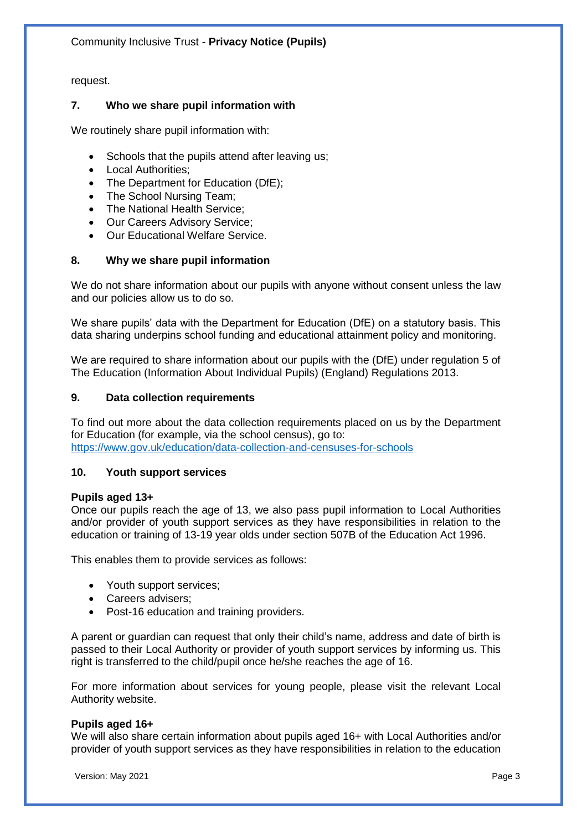request.

## **7. Who we share pupil information with**

We routinely share pupil information with:

- Schools that the pupils attend after leaving us;
- Local Authorities;
- The Department for Education (DfE);
- The School Nursing Team;
- The National Health Service;
- Our Careers Advisory Service;
- Our Educational Welfare Service.

# **8. Why we share pupil information**

We do not share information about our pupils with anyone without consent unless the law and our policies allow us to do so.

We share pupils' data with the Department for Education (DfE) on a statutory basis. This data sharing underpins school funding and educational attainment policy and monitoring.

We are required to share information about our pupils with the (DfE) under regulation 5 of The Education (Information About Individual Pupils) (England) Regulations 2013.

## **9. Data collection requirements**

To find out more about the data collection requirements placed on us by the Department for Education (for example, via the school census), go to: <https://www.gov.uk/education/data-collection-and-censuses-for-schools>

## **10. Youth support services**

## **Pupils aged 13+**

Once our pupils reach the age of 13, we also pass pupil information to Local Authorities and/or provider of youth support services as they have responsibilities in relation to the education or training of 13-19 year olds under section 507B of the Education Act 1996.

This enables them to provide services as follows:

- Youth support services:
- Careers advisers;
- Post-16 education and training providers.

A parent or guardian can request that only their child's name, address and date of birth is passed to their Local Authority or provider of youth support services by informing us. This right is transferred to the child/pupil once he/she reaches the age of 16.

For more information about services for young people, please visit the relevant Local Authority website.

## **Pupils aged 16+**

We will also share certain information about pupils aged 16+ with Local Authorities and/or provider of youth support services as they have responsibilities in relation to the education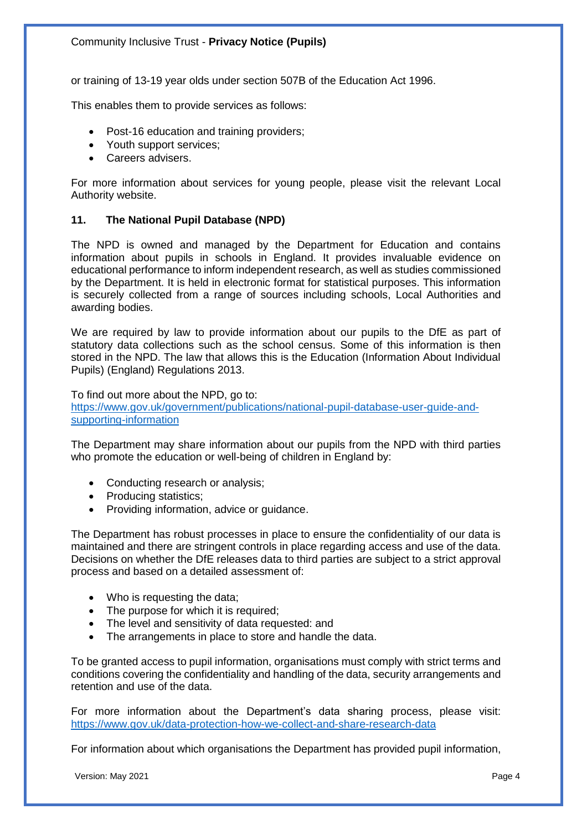or training of 13-19 year olds under section 507B of the Education Act 1996.

This enables them to provide services as follows:

- Post-16 education and training providers;
- Youth support services;
- Careers advisers.

For more information about services for young people, please visit the relevant Local Authority website.

#### **11. The National Pupil Database (NPD)**

The NPD is owned and managed by the Department for Education and contains information about pupils in schools in England. It provides invaluable evidence on educational performance to inform independent research, as well as studies commissioned by the Department. It is held in electronic format for statistical purposes. This information is securely collected from a range of sources including schools, Local Authorities and awarding bodies.

We are required by law to provide information about our pupils to the DfE as part of statutory data collections such as the school census. Some of this information is then stored in the NPD. The law that allows this is the Education (Information About Individual Pupils) (England) Regulations 2013.

To find out more about the NPD, go to:

[https://www.gov.uk/government/publications/national-pupil-database-user-guide-and](https://www.gov.uk/government/publications/national-pupil-database-user-guide-and-supporting-information)[supporting-information](https://www.gov.uk/government/publications/national-pupil-database-user-guide-and-supporting-information)

The Department may share information about our pupils from the NPD with third parties who promote the education or well-being of children in England by:

- Conducting research or analysis;
- Producing statistics:
- Providing information, advice or guidance.

The Department has robust processes in place to ensure the confidentiality of our data is maintained and there are stringent controls in place regarding access and use of the data. Decisions on whether the DfE releases data to third parties are subject to a strict approval process and based on a detailed assessment of:

- Who is requesting the data;
- The purpose for which it is required;
- The level and sensitivity of data requested: and
- The arrangements in place to store and handle the data.

To be granted access to pupil information, organisations must comply with strict terms and conditions covering the confidentiality and handling of the data, security arrangements and retention and use of the data.

For more information about the Department's data sharing process, please visit: <https://www.gov.uk/data-protection-how-we-collect-and-share-research-data>

For information about which organisations the Department has provided pupil information,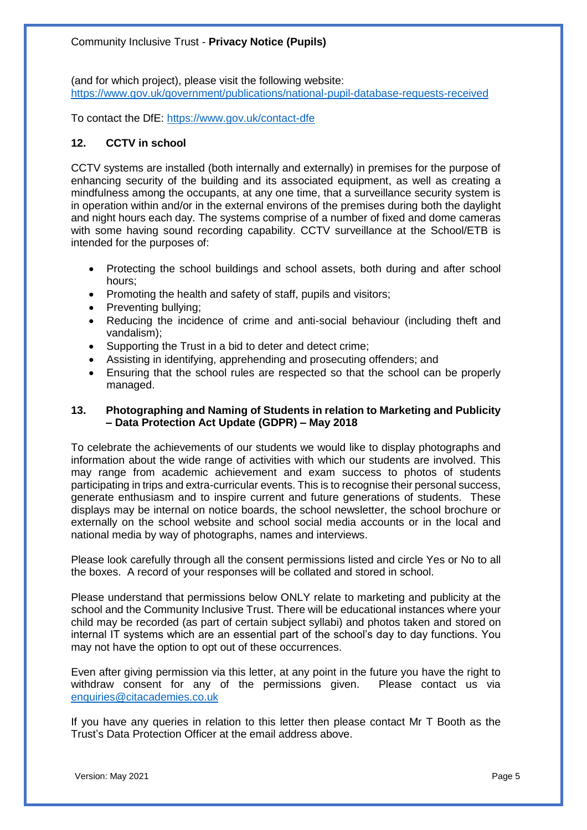(and for which project), please visit the following website: <https://www.gov.uk/government/publications/national-pupil-database-requests-received>

To contact the DfE:<https://www.gov.uk/contact-dfe>

#### **12. CCTV in school**

CCTV systems are installed (both internally and externally) in premises for the purpose of enhancing security of the building and its associated equipment, as well as creating a mindfulness among the occupants, at any one time, that a surveillance security system is in operation within and/or in the external environs of the premises during both the daylight and night hours each day. The systems comprise of a number of fixed and dome cameras with some having sound recording capability. CCTV surveillance at the School/ETB is intended for the purposes of:

- Protecting the school buildings and school assets, both during and after school hours;
- Promoting the health and safety of staff, pupils and visitors;
- Preventing bullying;
- Reducing the incidence of crime and anti-social behaviour (including theft and vandalism);
- Supporting the Trust in a bid to deter and detect crime;
- Assisting in identifying, apprehending and prosecuting offenders; and
- Ensuring that the school rules are respected so that the school can be properly managed.

#### **13. Photographing and Naming of Students in relation to Marketing and Publicity – Data Protection Act Update (GDPR) – May 2018**

To celebrate the achievements of our students we would like to display photographs and information about the wide range of activities with which our students are involved. This may range from academic achievement and exam success to photos of students participating in trips and extra-curricular events. This is to recognise their personal success, generate enthusiasm and to inspire current and future generations of students. These displays may be internal on notice boards, the school newsletter, the school brochure or externally on the school website and school social media accounts or in the local and national media by way of photographs, names and interviews.

Please look carefully through all the consent permissions listed and circle Yes or No to all the boxes. A record of your responses will be collated and stored in school.

Please understand that permissions below ONLY relate to marketing and publicity at the school and the Community Inclusive Trust. There will be educational instances where your child may be recorded (as part of certain subject syllabi) and photos taken and stored on internal IT systems which are an essential part of the school's day to day functions. You may not have the option to opt out of these occurrences.

Even after giving permission via this letter, at any point in the future you have the right to withdraw consent for any of the permissions given. Please contact us via [enquiries@citacademies.co.uk](mailto:enquiries@citacademies.co.uk)

If you have any queries in relation to this letter then please contact Mr T Booth as the Trust's Data Protection Officer at the email address above.